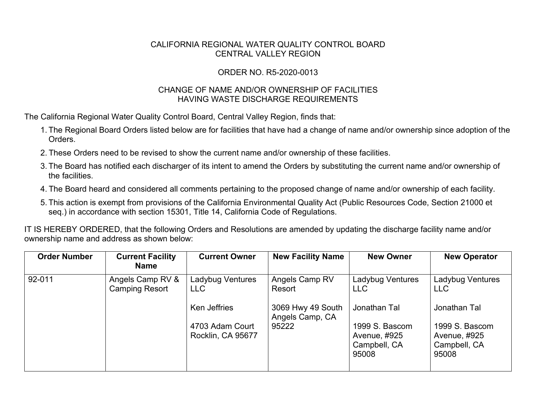## CALIFORNIA REGIONAL WATER QUALITY CONTROL BOARD CENTRAL VALLEY REGION

## ORDER NO. R5-2020-0013

## CHANGE OF NAME AND/OR OWNERSHIP OF FACILITIES HAVING WASTE DISCHARGE REQUIREMENTS

The California Regional Water Quality Control Board, Central Valley Region, finds that:

- 1. The Regional Board Orders listed below are for facilities that have had a change of name and/or ownership since adoption of the **Orders**
- 2. These Orders need to be revised to show the current name and/or ownership of these facilities.
- 3. The Board has notified each discharger of its intent to amend the Orders by substituting the current name and/or ownership of the facilities.
- 4. The Board heard and considered all comments pertaining to the proposed change of name and/or ownership of each facility.
- 5. This action is exempt from provisions of the California Environmental Quality Act (Public Resources Code, Section 21000 et seq.) in accordance with section 15301, Title 14, California Code of Regulations.

IT IS HEREBY ORDERED, that the following Orders and Resolutions are amended by updating the discharge facility name and/or ownership name and address as shown below:

| <b>Order Number</b> | <b>Current Facility</b><br><b>Name</b>    | <b>Current Owner</b>                 | <b>New Facility Name</b>             | <b>New Owner</b>                                        | <b>New Operator</b>                                     |
|---------------------|-------------------------------------------|--------------------------------------|--------------------------------------|---------------------------------------------------------|---------------------------------------------------------|
| 92-011              | Angels Camp RV &<br><b>Camping Resort</b> | Ladybug Ventures<br><b>LLC</b>       | Angels Camp RV<br>Resort             | Ladybug Ventures<br>LLC.                                | Ladybug Ventures<br><b>LLC</b>                          |
|                     |                                           | Ken Jeffries                         | 3069 Hwy 49 South<br>Angels Camp, CA | Jonathan Tal                                            | Jonathan Tal                                            |
|                     |                                           | 4703 Adam Court<br>Rocklin, CA 95677 | 95222                                | 1999 S. Bascom<br>Avenue, #925<br>Campbell, CA<br>95008 | 1999 S. Bascom<br>Avenue, #925<br>Campbell, CA<br>95008 |